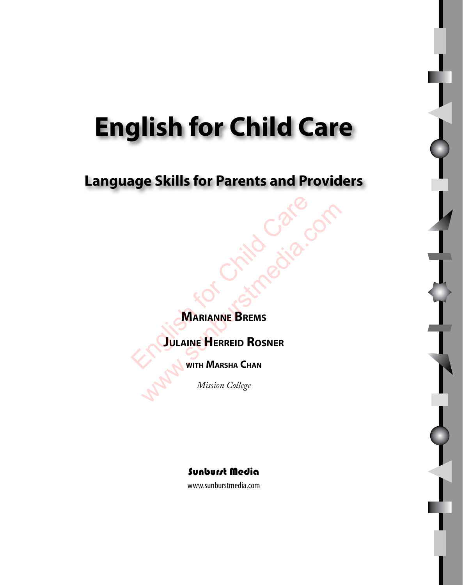# **English for Child Care**

# **Language Skills for Parents and Providers**

**Marianne Brems**

**Julaine Herreid Rosner** MARIANNE BREMS WARIANNE BREMS

**with Marsha Chan**

*Mission College*



www.sunburstmedia.com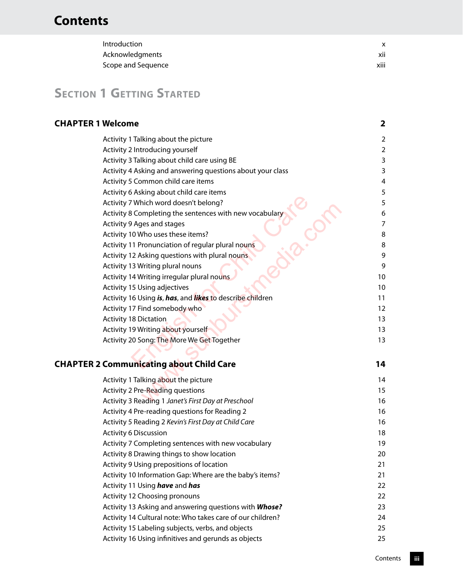| Introduction       |                  |
|--------------------|------------------|
| Acknowledgments    | XII              |
| Scope and Sequence | $\cdots$<br>XIII |

# **SECTION 1 GETTING STARTED**

| Activity 1 Talking about the picture                       | $\overline{2}$ |
|------------------------------------------------------------|----------------|
| Activity 2 Introducing yourself                            | $\overline{2}$ |
| Activity 3 Talking about child care using BE               | 3              |
| Activity 4 Asking and answering questions about your class | 3              |
| Activity 5 Common child care items                         | 4              |
| Activity 6 Asking about child care items                   | 5              |
| Activity 7 Which word doesn't belong?                      | 5              |
| Activity 8 Completing the sentences with new vocabulary    | 6              |
| Activity 9 Ages and stages                                 | $\overline{7}$ |
| Activity 10 Who uses these items?                          | 8              |
| Activity 11 Pronunciation of regular plural nouns          | 8              |
| Activity 12 Asking questions with plural nouns             | 9              |
| Activity 13 Writing plural nouns                           | 9              |
| Activity 14 Writing irregular plural nouns                 | 10             |
| Activity 15 Using adjectives                               | 10             |
| Activity 16 Using is, has, and likes to describe children  | 11             |
| Activity 17 Find somebody who                              | 12             |
| <b>Activity 18 Dictation</b>                               | 13             |
| Activity 19 Writing about yourself                         | 13             |
| Activity 20 Song: The More We Get Together                 | 13             |
|                                                            |                |
| <b>CHAPTER 2 Communicating about Child Care</b>            | 14             |
| Activity 1 Talking about the picture                       | 14             |
| Activity 2 Pre-Reading questions                           | 15             |
| Activity 3 Reading 1 Janet's First Day at Preschool        | 16             |
| Activity 4 Pre-reading questions for Reading 2             | 16             |
| Activity 5 Reading 2 Kevin's First Day at Child Care       | 16             |
| <b>Activity 6 Discussion</b>                               | 18             |
| Activity 7 Completing sentences with new vocabulary        | 19             |
| Activity 8 Drawing things to show location                 | 20             |
| Activity 9 Using prepositions of location                  | 21             |
| Activity 10 Information Gap: Where are the baby's items?   | 21             |
|                                                            |                |
| Activity 11 Using have and has                             | 22             |
| Activity 12 Choosing pronouns                              | 22             |
| Activity 13 Asking and answering questions with Whose?     | 23             |
| Activity 14 Cultural note: Who takes care of our children? | 24             |
| Activity 15 Labeling subjects, verbs, and objects          | 25             |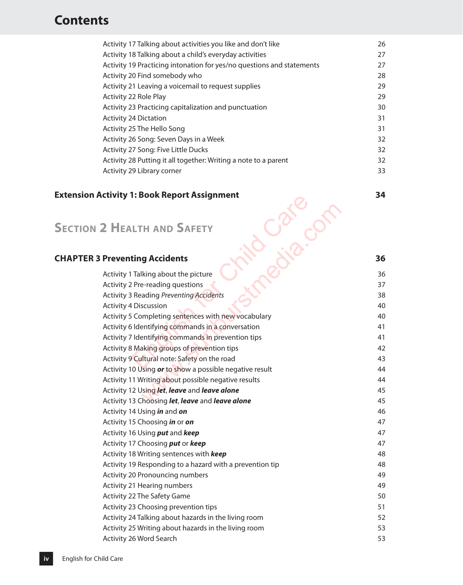| Activity 17 Talking about activities you like and don't like          | 26 |
|-----------------------------------------------------------------------|----|
| Activity 18 Talking about a child's everyday activities               | 27 |
| Activity 19 Practicing intonation for yes/no questions and statements | 27 |
| Activity 20 Find somebody who                                         | 28 |
| Activity 21 Leaving a voicemail to request supplies                   | 29 |
| Activity 22 Role Play                                                 | 29 |
| Activity 23 Practicing capitalization and punctuation                 | 30 |
| <b>Activity 24 Dictation</b>                                          | 31 |
| Activity 25 The Hello Song                                            | 31 |
| Activity 26 Song: Seven Days in a Week                                | 32 |
| Activity 27 Song: Five Little Ducks                                   | 32 |
| Activity 28 Putting it all together: Writing a note to a parent       | 32 |
| Activity 29 Library corner                                            | 33 |

#### **Extension Activity 1: Book Report Assignment 34**

## **Section 2 Health and Safety**

#### **CHAPTER 3 Preventing Accidents 36**

| ictivity 1: DOOK NEPOLL ASSIGNMENt                       |    |
|----------------------------------------------------------|----|
|                                                          |    |
| 2 HEALTH AND SAFETY                                      |    |
|                                                          |    |
| <b>Preventing Accidents</b>                              | 36 |
| Activity 1 Talking about the picture                     | 36 |
| Activity 2 Pre-reading questions                         | 37 |
| <b>Activity 3 Reading Preventing Accidents</b>           | 38 |
| <b>Activity 4 Discussion</b>                             | 40 |
| Activity 5 Completing sentences with new vocabulary      | 40 |
| Activity 6 Identifying commands in a conversation        | 41 |
| Activity 7 Identifying commands in prevention tips       | 41 |
| Activity 8 Making groups of prevention tips              | 42 |
| Activity 9 Cultural note: Safety on the road             | 43 |
| Activity 10 Using or to show a possible negative result  | 44 |
| Activity 11 Writing about possible negative results      | 44 |
| Activity 12 Using let, leave and leave alone             | 45 |
| Activity 13 Choosing let, leave and leave alone          | 45 |
| Activity 14 Using in and on                              | 46 |
| Activity 15 Choosing in or on                            | 47 |
| Activity 16 Using put and keep                           | 47 |
| Activity 17 Choosing put or keep                         | 47 |
| Activity 18 Writing sentences with keep                  | 48 |
| Activity 19 Responding to a hazard with a prevention tip | 48 |
| Activity 20 Pronouncing numbers                          | 49 |
| Activity 21 Hearing numbers                              | 49 |
| Activity 22 The Safety Game                              | 50 |
| Activity 23 Choosing prevention tips                     | 51 |
| Activity 24 Talking about hazards in the living room     | 52 |
| Activity 25 Writing about hazards in the living room     | 53 |
| Activity 26 Word Search                                  | 53 |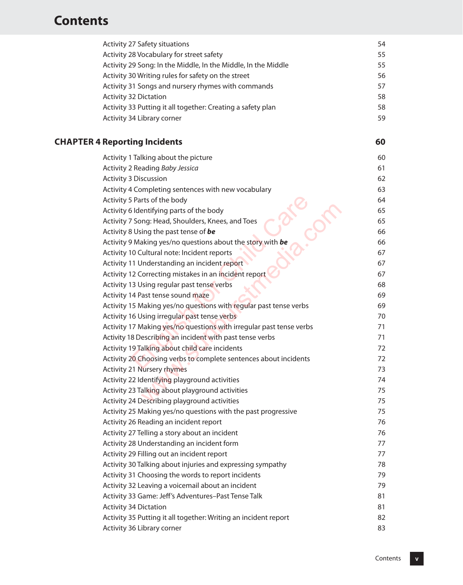| <b>Activity 27 Safety situations</b>                                                                    | 54       |
|---------------------------------------------------------------------------------------------------------|----------|
| Activity 28 Vocabulary for street safety                                                                | 55       |
| Activity 29 Song: In the Middle, In the Middle, In the Middle                                           | 55       |
| Activity 30 Writing rules for safety on the street                                                      | 56       |
| Activity 31 Songs and nursery rhymes with commands                                                      | 57       |
| <b>Activity 32 Dictation</b>                                                                            | 58       |
| Activity 33 Putting it all together: Creating a safety plan                                             | 58       |
| Activity 34 Library corner                                                                              | 59       |
| <b>CHAPTER 4 Reporting Incidents</b>                                                                    | 60       |
| Activity 1 Talking about the picture                                                                    | 60       |
| Activity 2 Reading Baby Jessica                                                                         | 61       |
| <b>Activity 3 Discussion</b>                                                                            | 62       |
| Activity 4 Completing sentences with new vocabulary                                                     | 63       |
| Activity 5 Parts of the body                                                                            | 64       |
| Activity 6 Identifying parts of the body                                                                | 65       |
| Activity 7 Song: Head, Shoulders, Knees, and Toes                                                       | 65       |
| Activity 8 Using the past tense of be                                                                   | 66       |
| Activity 9 Making yes/no questions about the story with be                                              | 66       |
| Activity 10 Cultural note: Incident reports                                                             | 67       |
| Activity 11 Understanding an incident report                                                            | 67       |
| Activity 12 Correcting mistakes in an incident report                                                   | 67       |
| Activity 13 Using regular past tense verbs                                                              | 68       |
| Activity 14 Past tense sound maze                                                                       | 69       |
| Activity 15 Making yes/no questions with regular past tense verbs                                       | 69       |
| Activity 16 Using irregular past tense verbs                                                            | 70       |
| Activity 17 Making yes/no questions with irregular past tense verbs                                     | 71       |
| Activity 18 Describing an incident with past tense verbs                                                | 71       |
| Activity 19 Talking about child care incidents                                                          | 72       |
| Activity 20 Choosing verbs to complete sentences about incidents                                        | 72       |
| <b>Activity 21 Nursery rhymes</b>                                                                       | 73       |
| Activity 22 Identifying playground activities                                                           | 74       |
| Activity 23 Talking about playground activities                                                         | 75       |
| Activity 24 Describing playground activities                                                            | 75<br>75 |
| Activity 25 Making yes/no questions with the past progressive<br>Activity 26 Reading an incident report | 76       |
| Activity 27 Telling a story about an incident                                                           | 76       |
| Activity 28 Understanding an incident form                                                              | 77       |
| Activity 29 Filling out an incident report                                                              | 77       |
| Activity 30 Talking about injuries and expressing sympathy                                              | 78       |
| Activity 31 Choosing the words to report incidents                                                      | 79       |
| Activity 32 Leaving a voicemail about an incident                                                       | 79       |
| Activity 33 Game: Jeff's Adventures-Past Tense Talk                                                     | 81       |
| <b>Activity 34 Dictation</b>                                                                            | 81       |
| Activity 35 Putting it all together: Writing an incident report                                         | 82       |
| Activity 36 Library corner                                                                              | 83       |
|                                                                                                         |          |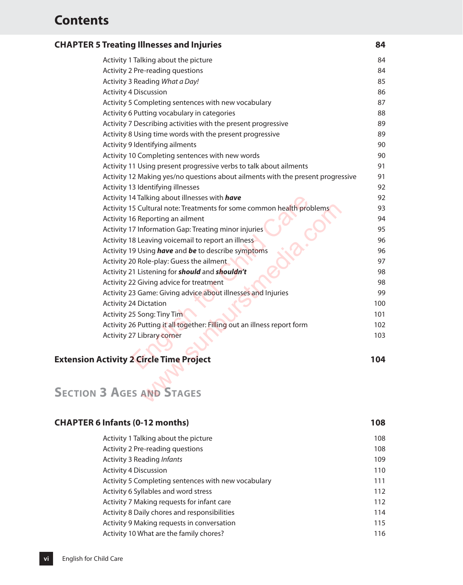#### **Chapter 5 Treating Illnesses and Injuries 84**

| Activity 1 Talking about the picture                                            | 84  |
|---------------------------------------------------------------------------------|-----|
| Activity 2 Pre-reading questions                                                | 84  |
| Activity 3 Reading What a Day!                                                  | 85  |
| <b>Activity 4 Discussion</b>                                                    | 86  |
| Activity 5 Completing sentences with new vocabulary                             | 87  |
| Activity 6 Putting vocabulary in categories                                     | 88  |
| Activity 7 Describing activities with the present progressive                   | 89  |
| Activity 8 Using time words with the present progressive                        | 89  |
| Activity 9 Identifying ailments                                                 | 90  |
| Activity 10 Completing sentences with new words                                 | 90  |
| Activity 11 Using present progressive verbs to talk about ailments              | 91  |
| Activity 12 Making yes/no questions about ailments with the present progressive | 91  |
| Activity 13 Identifying illnesses                                               | 92  |
| Activity 14 Talking about illnesses with have                                   | 92  |
| Activity 15 Cultural note: Treatments for some common health problems           | 93  |
| Activity 16 Reporting an ailment                                                | 94  |
| Activity 17 Information Gap: Treating minor injuries                            | 95  |
| Activity 18 Leaving voicemail to report an illness                              | 96  |
| Activity 19 Using have and be to describe symptoms                              | 96  |
| Activity 20 Role-play: Guess the ailment                                        | 97  |
| Activity 21 Listening for <b>should</b> and <b>shouldn't</b>                    | 98  |
| Activity 22 Giving advice for treatment                                         | 98  |
| Activity 23 Game: Giving advice about illnesses and Injuries                    | 99  |
| <b>Activity 24 Dictation</b>                                                    | 100 |
| Activity 25 Song: Tiny Tim                                                      | 101 |
| Activity 26 Putting it all together: Filling out an illness report form         | 102 |
| <b>Activity 27 Library corner</b>                                               | 103 |
| ctivity 2 Circle Time Project                                                   | 104 |
|                                                                                 |     |
| <b>AGES AND STAGES</b><br>3.                                                    |     |
|                                                                                 |     |

#### **Extension Activity 2 Circle Time Project 104**

# **Section 3 Ages and Stages**

| <b>CHAPTER 6 Infants (0-12 months)</b>              | 108 |
|-----------------------------------------------------|-----|
| Activity 1 Talking about the picture                | 108 |
| Activity 2 Pre-reading questions                    | 108 |
| Activity 3 Reading <i>Infants</i>                   | 109 |
| <b>Activity 4 Discussion</b>                        | 110 |
| Activity 5 Completing sentences with new vocabulary | 111 |
| Activity 6 Syllables and word stress                | 112 |
| Activity 7 Making requests for infant care          | 112 |
| Activity 8 Daily chores and responsibilities        | 114 |
| Activity 9 Making requests in conversation          | 115 |
| Activity 10 What are the family chores?             | 116 |
|                                                     |     |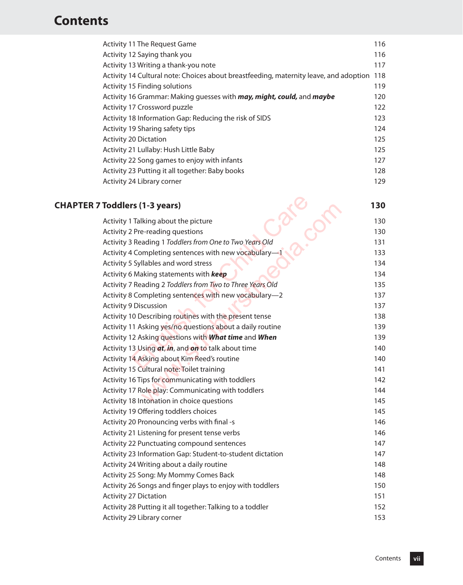| Activity 11 The Request Game                                                          | 116 |
|---------------------------------------------------------------------------------------|-----|
| Activity 12 Saying thank you                                                          | 116 |
| Activity 13 Writing a thank-you note                                                  | 117 |
| Activity 14 Cultural note: Choices about breastfeeding, maternity leave, and adoption | 118 |
| Activity 15 Finding solutions                                                         | 119 |
| Activity 16 Grammar: Making guesses with <i>may, might, could,</i> and <i>maybe</i>   | 120 |
| Activity 17 Crossword puzzle                                                          | 122 |
| Activity 18 Information Gap: Reducing the risk of SIDS                                | 123 |
| Activity 19 Sharing safety tips                                                       | 124 |
| <b>Activity 20 Dictation</b>                                                          | 125 |
| Activity 21 Lullaby: Hush Little Baby                                                 | 125 |
| Activity 22 Song games to enjoy with infants                                          | 127 |
| Activity 23 Putting it all together: Baby books                                       | 128 |
| Activity 24 Library corner                                                            | 129 |
|                                                                                       |     |

# **Chapter 7 Toddlers (1-3 years) 130**

| Toddlers (1-3 years)                                      | 130 |
|-----------------------------------------------------------|-----|
| Activity 1 Talking about the picture                      | 130 |
| Activity 2 Pre-reading questions                          | 130 |
| Activity 3 Reading 1 Toddlers from One to Two Years Old   | 131 |
| Activity 4 Completing sentences with new vocabulary-1     | 133 |
| Activity 5 Syllables and word stress                      | 134 |
| Activity 6 Making statements with keep                    | 134 |
| Activity 7 Reading 2 Toddlers from Two to Three Years Old | 135 |
| Activity 8 Completing sentences with new vocabulary-2     | 137 |
| <b>Activity 9 Discussion</b>                              | 137 |
| Activity 10 Describing routines with the present tense    | 138 |
| Activity 11 Asking yes/no questions about a daily routine | 139 |
| Activity 12 Asking questions with What time and When      | 139 |
| Activity 13 Using at, in, and on to talk about time       | 140 |
| Activity 14 Asking about Kim Reed's routine               | 140 |
| Activity 15 Cultural note: Toilet training                | 141 |
| Activity 16 Tips for communicating with toddlers          | 142 |
| Activity 17 Role play: Communicating with toddlers        | 144 |
| Activity 18 Intonation in choice questions                | 145 |
| Activity 19 Offering toddlers choices                     | 145 |
| Activity 20 Pronouncing verbs with final -s               | 146 |
| Activity 21 Listening for present tense verbs             | 146 |
| Activity 22 Punctuating compound sentences                | 147 |
| Activity 23 Information Gap: Student-to-student dictation | 147 |
| Activity 24 Writing about a daily routine                 | 148 |
| Activity 25 Song: My Mommy Comes Back                     | 148 |
| Activity 26 Songs and finger plays to enjoy with toddlers | 150 |
| <b>Activity 27 Dictation</b>                              | 151 |
| Activity 28 Putting it all together: Talking to a toddler | 152 |
| Activity 29 Library corner                                | 153 |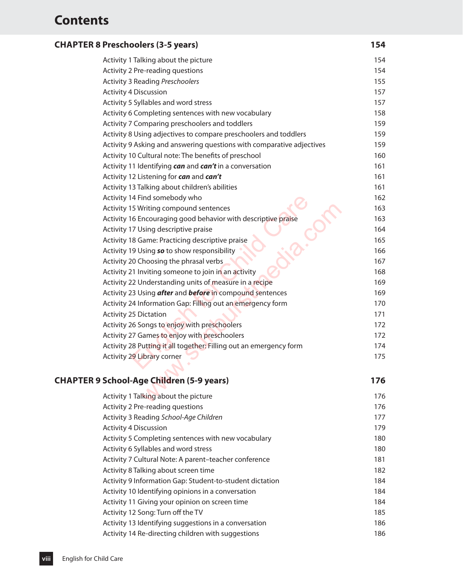| <b>CHAPTER 8 Preschoolers (3-5 years)</b> | 154 |
|-------------------------------------------|-----|
|-------------------------------------------|-----|

| Activity 1 Talking about the picture                                  | 154 |
|-----------------------------------------------------------------------|-----|
| Activity 2 Pre-reading questions                                      | 154 |
| <b>Activity 3 Reading Preschoolers</b>                                | 155 |
| <b>Activity 4 Discussion</b>                                          | 157 |
| Activity 5 Syllables and word stress                                  | 157 |
| Activity 6 Completing sentences with new vocabulary                   | 158 |
| Activity 7 Comparing preschoolers and toddlers                        | 159 |
| Activity 8 Using adjectives to compare preschoolers and toddlers      | 159 |
| Activity 9 Asking and answering questions with comparative adjectives | 159 |
| Activity 10 Cultural note: The benefits of preschool                  | 160 |
| Activity 11 Identifying can and can't in a conversation               | 161 |
| Activity 12 Listening for can and can't                               | 161 |
| Activity 13 Talking about children's abilities                        | 161 |
| Activity 14 Find somebody who                                         | 162 |
| Activity 15 Writing compound sentences                                | 163 |
| Activity 16 Encouraging good behavior with descriptive praise         | 163 |
| Activity 17 Using descriptive praise                                  | 164 |
| Activity 18 Game: Practicing descriptive praise                       | 165 |
| Activity 19 Using so to show responsibility                           | 166 |
| Activity 20 Choosing the phrasal verbs                                | 167 |
| Activity 21 Inviting someone to join in an activity                   | 168 |
| Activity 22 Understanding units of measure in a recipe                | 169 |
| Activity 23 Using after and before in compound sentences              | 169 |
| Activity 24 Information Gap: Filling out an emergency form            | 170 |
| <b>Activity 25 Dictation</b>                                          | 171 |
| Activity 26 Songs to enjoy with preschoolers                          | 172 |
| Activity 27 Games to enjoy with preschoolers                          | 172 |
| Activity 28 Putting it all together: Filling out an emergency form    | 174 |
| Activity 29 Library corner                                            | 175 |
|                                                                       |     |
| <b>School-Age Children (5-9 years)</b>                                | 176 |
| Activity 1 Talking about the picture                                  | 176 |
|                                                                       |     |

#### **Chapter 9 School-Age Children (5-9 years) 176**

| Activity 1 Talking about the picture                     | 176 |
|----------------------------------------------------------|-----|
| Activity 2 Pre-reading questions                         | 176 |
| Activity 3 Reading School-Age Children                   | 177 |
| <b>Activity 4 Discussion</b>                             | 179 |
| Activity 5 Completing sentences with new vocabulary      | 180 |
| Activity 6 Syllables and word stress                     | 180 |
| Activity 7 Cultural Note: A parent-teacher conference    | 181 |
| Activity 8 Talking about screen time                     | 182 |
| Activity 9 Information Gap: Student-to-student dictation | 184 |
| Activity 10 Identifying opinions in a conversation       | 184 |
| Activity 11 Giving your opinion on screen time           | 184 |
| Activity 12 Song: Turn off the TV                        | 185 |
| Activity 13 Identifying suggestions in a conversation    | 186 |
| Activity 14 Re-directing children with suggestions       | 186 |